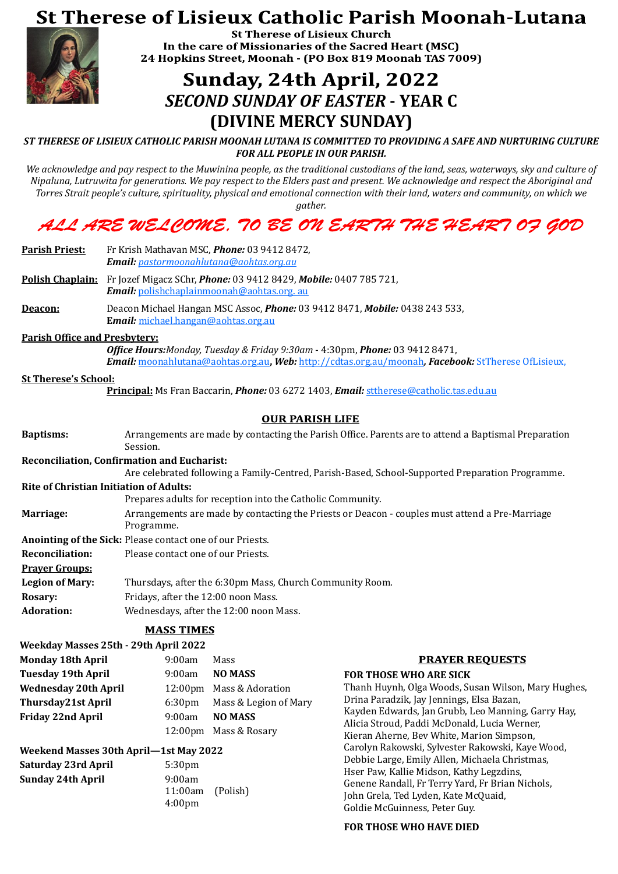# **St Therese of Lisieux Catholic Parish Moonah-Lutana**



**St Therese of Lisieux Church** In the care of Missionaries of the Sacred Heart (MSC) 24 Hopkins Street, Moonah - (PO Box 819 Moonah TAS 7009)

# Sunday, 24th April, 2022 *SECOND SUNDAY OF EASTER* **- YEAR C (DIVINE MERCY SUNDAY)**

#### *ST THERESE OF LISIEUX CATHOLIC PARISH MOONAH LUTANA IS COMMITTED TO PROVIDING A SAFE AND NURTURING CULTURE FOR ALL PEOPLE IN OUR PARISH.*

*We acknowledge and pay respect to the Muwinina people, as the traditional custodians of the land, seas, waterways, sky and culture of Nipaluna, Lutruwita for generations. We pay respect to the Elders past and present. We acknowledge and respect the Aboriginal and Torres Strait people's culture, spirituality, physical and emotional connection with their land, waters and community, on which we* 

*gather.*

## ALL ARE WEL COME, 70 BE ON EARTH THE HEART 07 GOD

| <b>Parish Priest:</b>                                                                                                                                                                            | Fr Krish Mathavan MSC, <i>Phone:</i> 03 9412 8472,<br>Email: pastormoonahlutana@aohtas.org.au                                    |  |  |  |  |
|--------------------------------------------------------------------------------------------------------------------------------------------------------------------------------------------------|----------------------------------------------------------------------------------------------------------------------------------|--|--|--|--|
|                                                                                                                                                                                                  | Polish Chaplain: Fr Jozef Migacz SChr, Phone: 03 9412 8429, Mobile: 0407 785 721,<br>Email: polishchaplainmoonah@aohtas.org. au  |  |  |  |  |
| Deacon:                                                                                                                                                                                          | Deacon Michael Hangan MSC Assoc, <i>Phone:</i> 03 9412 8471, <i>Mobile:</i> 0438 243 533,<br>Email: michael.hangan@aohtas.org.au |  |  |  |  |
| <b>Parish Office and Presbytery:</b>                                                                                                                                                             |                                                                                                                                  |  |  |  |  |
| <b>Office Hours:</b> Monday, Tuesday & Friday 9:30am - 4:30pm, <b>Phone:</b> 03 9412 8471,<br>Email: moonahlutana@aohtas.org.au, Web: http://cdtas.org.au/moonah, Facebook: StTherese OfLisieux, |                                                                                                                                  |  |  |  |  |
| <b>St Therese's School:</b>                                                                                                                                                                      |                                                                                                                                  |  |  |  |  |
| <b>Principal:</b> Ms Fran Baccarin, <i>Phone:</i> 03 6272 1403, <i>Email: sttherese@catholic.tas.edu.au</i>                                                                                      |                                                                                                                                  |  |  |  |  |
| <b>OUR PARISH LIFE</b>                                                                                                                                                                           |                                                                                                                                  |  |  |  |  |
| <b>Baptisms:</b>                                                                                                                                                                                 | Arrangements are made by contacting the Parish Office. Parents are to attend a Baptismal Preparation<br>Session.                 |  |  |  |  |
| <b>Reconciliation, Confirmation and Eucharist:</b>                                                                                                                                               |                                                                                                                                  |  |  |  |  |
|                                                                                                                                                                                                  | Are celebrated following a Family-Centred, Parish-Based, School-Supported Preparation Programme.                                 |  |  |  |  |
| <b>Rite of Christian Initiation of Adults:</b>                                                                                                                                                   |                                                                                                                                  |  |  |  |  |
|                                                                                                                                                                                                  | Prepares adults for reception into the Catholic Community.                                                                       |  |  |  |  |
| Marriage:                                                                                                                                                                                        | Arrangements are made by contacting the Priests or Deacon - couples must attend a Pre-Marriage<br>Programme.                     |  |  |  |  |
| Anointing of the Sick: Please contact one of our Priests.                                                                                                                                        |                                                                                                                                  |  |  |  |  |
| <b>Reconciliation:</b>                                                                                                                                                                           | Please contact one of our Priests.                                                                                               |  |  |  |  |
| <b>Prayer Groups:</b>                                                                                                                                                                            |                                                                                                                                  |  |  |  |  |
| <b>Legion of Mary:</b>                                                                                                                                                                           | Thursdays, after the 6:30pm Mass, Church Community Room.                                                                         |  |  |  |  |
| <b>Rosary:</b>                                                                                                                                                                                   | Fridays, after the 12:00 noon Mass.                                                                                              |  |  |  |  |
| <b>Adoration:</b>                                                                                                                                                                                | Wednesdays, after the 12:00 noon Mass.                                                                                           |  |  |  |  |
|                                                                                                                                                                                                  |                                                                                                                                  |  |  |  |  |

#### **MASS TIMES**

| Weekday Masses 25th - 29th April 2022 |             |  |
|---------------------------------------|-------------|--|
| <b>Monday 18th April</b>              | 9:00am Mass |  |

**PRAYER REQUESTS** 

**Tuesday 19th April** 9:00am **NO MASS Friday 22nd April** 9:00am **NO MASS**

**Wednesday 20th April** 12:00pm Mass & Adoration **Thursday21st April** 6:30pm Mass & Legion of Mary 12:00pm Mass & Rosary

#### **Weekend Masses 30th April—1st May 2022**

**Saturday 23rd April** 5:30pm **Sunday 24th April** 9:00am

11:00am (Polish) 4:00pm

#### **FOR THOSE WHO ARE SICK**

Thanh Huynh, Olga Woods, Susan Wilson, Mary Hughes, Drina Paradzik, Jay Jennings, Elsa Bazan, Kayden Edwards, Jan Grubb, Leo Manning, Garry Hay, Alicia Stroud, Paddi McDonald, Lucia Werner, Kieran Aherne, Bev White, Marion Simpson, Carolyn Rakowski, Sylvester Rakowski, Kaye Wood, Debbie Large, Emily Allen, Michaela Christmas, Hser Paw, Kallie Midson, Kathy Legzdins, Genene Randall, Fr Terry Yard, Fr Brian Nichols, John Grela, Ted Lyden, Kate McQuaid, Goldie McGuinness, Peter Guy.

#### **FOR THOSE WHO HAVE DIED**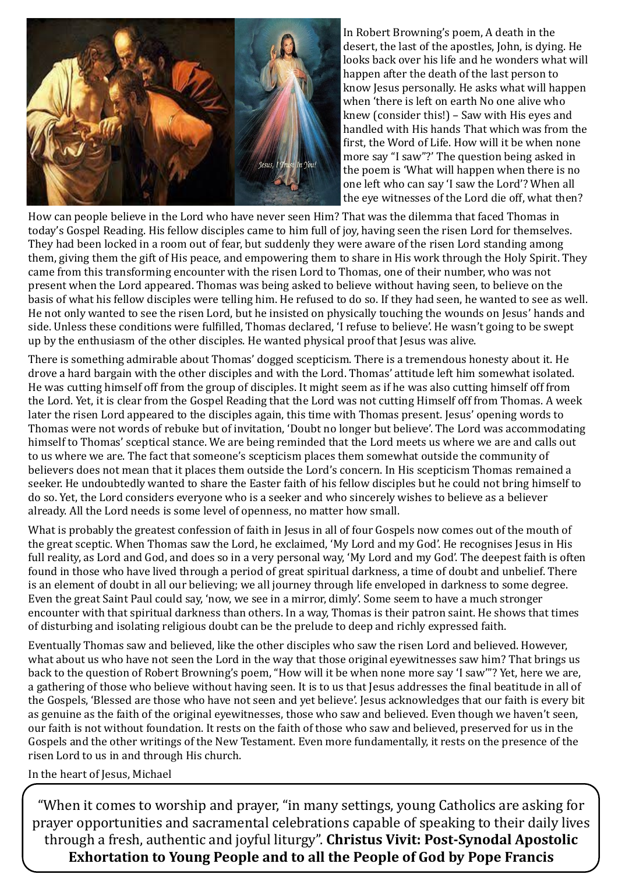

In Robert Browning's poem, A death in the desert, the last of the apostles, John, is dying. He looks back over his life and he wonders what will happen after the death of the last person to know Jesus personally. He asks what will happen when 'there is left on earth No one alive who knew (consider this!) – Saw with His eyes and handled with His hands That which was from the first, the Word of Life. How will it be when none more say "I saw"?' The question being asked in the poem is 'What will happen when there is no one left who can say 'I saw the Lord'? When all the eye witnesses of the Lord die off, what then?

How can people believe in the Lord who have never seen Him? That was the dilemma that faced Thomas in today's Gospel Reading. His fellow disciples came to him full of joy, having seen the risen Lord for themselves. They had been locked in a room out of fear, but suddenly they were aware of the risen Lord standing among them, giving them the gift of His peace, and empowering them to share in His work through the Holy Spirit. They came from this transforming encounter with the risen Lord to Thomas, one of their number, who was not present when the Lord appeared. Thomas was being asked to believe without having seen, to believe on the basis of what his fellow disciples were telling him. He refused to do so. If they had seen, he wanted to see as well. He not only wanted to see the risen Lord, but he insisted on physically touching the wounds on Jesus' hands and side. Unless these conditions were fulfilled, Thomas declared, 'I refuse to believe'. He wasn't going to be swept up by the enthusiasm of the other disciples. He wanted physical proof that Jesus was alive.

There is something admirable about Thomas' dogged scepticism. There is a tremendous honesty about it. He drove a hard bargain with the other disciples and with the Lord. Thomas' attitude left him somewhat isolated. He was cutting himself off from the group of disciples. It might seem as if he was also cutting himself off from the Lord. Yet, it is clear from the Gospel Reading that the Lord was not cutting Himself off from Thomas. A week later the risen Lord appeared to the disciples again, this time with Thomas present. Jesus' opening words to Thomas were not words of rebuke but of invitation, 'Doubt no longer but believe'. The Lord was accommodating himself to Thomas' sceptical stance. We are being reminded that the Lord meets us where we are and calls out to us where we are. The fact that someone's scepticism places them somewhat outside the community of believers does not mean that it places them outside the Lord's concern. In His scepticism Thomas remained a seeker. He undoubtedly wanted to share the Easter faith of his fellow disciples but he could not bring himself to do so. Yet, the Lord considers everyone who is a seeker and who sincerely wishes to believe as a believer already. All the Lord needs is some level of openness, no matter how small.

What is probably the greatest confession of faith in Jesus in all of four Gospels now comes out of the mouth of the great sceptic. When Thomas saw the Lord, he exclaimed, 'My Lord and my God'. He recognises Jesus in His full reality, as Lord and God, and does so in a very personal way, 'My Lord and my God'. The deepest faith is often found in those who have lived through a period of great spiritual darkness, a time of doubt and unbelief. There is an element of doubt in all our believing; we all journey through life enveloped in darkness to some degree. Even the great Saint Paul could say, 'now, we see in a mirror, dimly'. Some seem to have a much stronger encounter with that spiritual darkness than others. In a way, Thomas is their patron saint. He shows that times of disturbing and isolating religious doubt can be the prelude to deep and richly expressed faith.

Eventually Thomas saw and believed, like the other disciples who saw the risen Lord and believed. However, what about us who have not seen the Lord in the way that those original eyewitnesses saw him? That brings us

back to the question of Robert Browning's poem, "How will it be when none more say 'I saw'"? Yet, here we are, a gathering of those who believe without having seen. It is to us that Jesus addresses the final beatitude in all of the Gospels, 'Blessed are those who have not seen and yet believe'. Jesus acknowledges that our faith is every bit as genuine as the faith of the original eyewitnesses, those who saw and believed. Even though we haven't seen, our faith is not without foundation. It rests on the faith of those who saw and believed, preserved for us in the Gospels and the other writings of the New Testament. Even more fundamentally, it rests on the presence of the risen Lord to us in and through His church.

In the heart of Jesus, Michael

"When it comes to worship and prayer, "in many settings, young Catholics are asking for prayer opportunities and sacramental celebrations capable of speaking to their daily lives through a fresh, authentic and joyful liturgy". **Christus Vivit: Post-Synodal Apostolic Exhortation to Young People and to all the People of God by Pope Francis**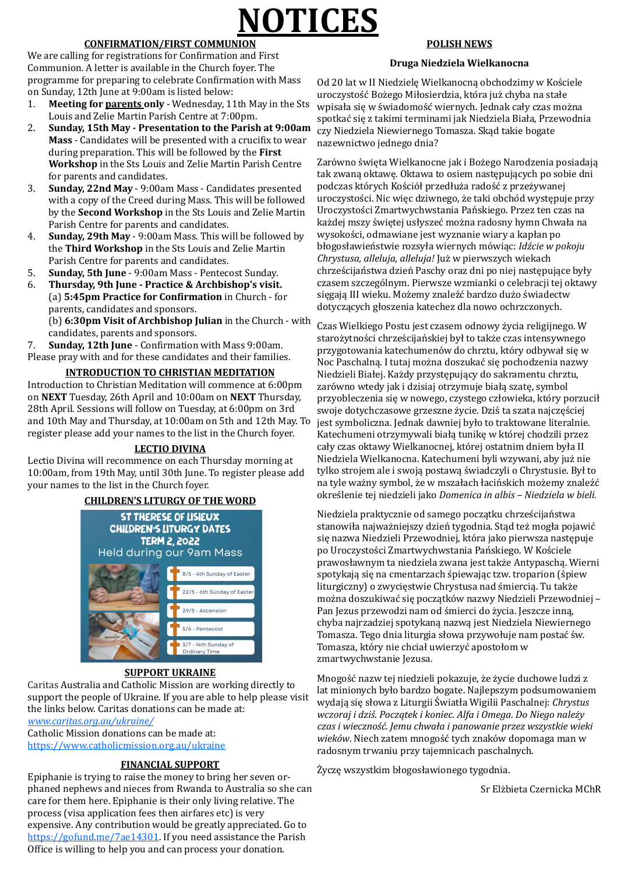# **NOTICES**

#### **CONFIRMATION/FIRST COMMUNION**

We are calling for registrations for Confirmation and First Communion. A letter is available in the Church foyer. The programme for preparing to celebrate Confirmation with Mass on Sunday, 12th June at 9:00am is listed below:

- 1. **Meeting for parents only**  Wednesday, 11th May in the Sts Louis and Zelie Martin Parish Centre at 7:00pm.
- 2. **Sunday, 15th May - Presentation to the Parish at 9:00am Mass** - Candidates will be presented with a crucifix to wear during preparation. This will be followed by the **First Workshop** in the Sts Louis and Zelie Martin Parish Centre for parents and candidates.
- 3. **Sunday, 22nd May**  9:00am Mass Candidates presented with a copy of the Creed during Mass. This will be followed by the **Second Workshop** in the Sts Louis and Zelie Martin Parish Centre for parents and candidates.
- 4. **Sunday, 29th May**  9:00am Mass. This will be followed by the **Third Workshop** in the Sts Louis and Zelie Martin Parish Centre for parents and candidates.
- 5. **Sunday, 5th June**  9:00am Mass Pentecost Sunday.
- 6. **Thursday, 9th June - Practice & Archbishop's visit.** (a) **5:45pm Practice for Confirmation** in Church - for parents, candidates and sponsors.
	- (b) **6:30pm Visit of Archbishop Julian** in the Church with candidates, parents and sponsors.

7. **Sunday, 12th June** - Confirmation with Mass 9:00am. Please pray with and for these candidates and their families.

#### **INTRODUCTION TO CHRISTIAN MEDITATION**

Od 20 lat w II Niedzielę Wielkanocną obchodzimy w Kościele uroczystość Bożego Miłosierdzia, która już chyba na stałe wpisała się w świadomość wiernych. Jednak cały czas można spotkac się z takimi terminami jak Niedziela Biała, Przewodnia czy Niedziela Niewiernego Tomasza. Skąd takie bogate nazewnictwo jednego dnia?

Introduction to Christian Meditation will commence at 6:00pm on **NEXT** Tuesday, 26th April and 10:00am on **NEXT** Thursday, 28th April. Sessions will follow on Tuesday, at 6:00pm on 3rd and 10th May and Thursday, at 10:00am on 5th and 12th May. To register please add your names to the list in the Church foyer.

#### **LECTIO DIVINA**

Lectio Divina will recommence on each Thursday morning at 10:00am, from 19th May, until 30th June. To register please add your names to the list in the Church foyer.

Zarówno święta Wielkanocne jak i Bożego Narodzenia posiadają tak zwaną oktawę. Oktawa to osiem następujących po sobie dni podczas których Kościół przedłuża radość z przeżywanej uroczystości. Nic więc dziwnego, że taki obchód występuje przy Uroczystości Zmartwychwstania Pańskiego. Przez ten czas na każdej mszy świętej usłyszeć można radosny hymn Chwała na wysokości, odmawiane jest wyznanie wiary a kapłan po błogosławieństwie rozsyła wiernych mówiąc: *Idźcie w pokoju Chrystusa, alleluja, alleluja!* Juz w pierwszych wiekach chrześcijaństwa dzień Paschy oraz dni po niej następujące były czasem szczególnym. Pierwsze wzmianki o celebracji tej oktawy sięgają III wieku. Możemy znaleźć bardzo dużo świadectw dotyczących głoszenia katechez dla nowo ochrzczonych.

#### **CHILDREN'S LITURGY OF THE WORD**

**ST THERESE OF LISIEUX CHILDREN'S LITURGY DATES TERM 2, 2022 Held during our 9am Mass** 8/5 - 4th Sunday of Easter 22/5 - 6th Sunday of Easter 29/5 - Ascension 5/6 - Pentecost 3/7 - 14th Sunday of Ordinary Time

#### **SUPPORT UKRAINE**

Caritas Australia and Catholic Mission are working directly to support the people of Ukraine. If you are able to help please visit the links below. Caritas donations can be made at: *[www.caritas.org.au/ukraine/](https://hes32-ctp.trendmicro.com/wis/clicktime/v1/query?url=http%3a%2f%2fwww.caritas.org.au%2fdonate%2femergency%2dappeals%2fukraine%2f&umid=5a8862a7-bec0-46e4-a2f3-84a35ed82562&auth=44ba8ce275bc61e46d1d7ea6d8710c2512e85123-9e4b1c837ab93a6a965fed0cfad09f27b66)*

Catholic Mission donations can be made at: <https://www.catholicmission.org.au/ukraine>

#### **FINANCIAL SUPPORT**

Czas Wielkiego Postu jest czasem odnowy życia religijnego. W starożytności chrześcijańskiej był to także czas intensywnego przygotowania katechumenów do chrztu, który odbywał się w Noc Paschalną. I tutaj można doszukać się pochodzenia nazwy Niedzieli Białej. Każdy przystępujący do sakramentu chrztu, zarówno wtedy jak i dzisiaj otrzymuje białą szatę, symbol przyobleczenia się w nowego, czystego człowieka, który porzucił swoje dotychczasowe grzeszne życie. Dziś ta szata najczęściej jest symboliczna. Jednak dawniej było to traktowane literalnie. Katechumeni otrzymywali białą tunikę w której chodzili przez cały czas oktawy Wielkanocnej, której ostatnim dniem była II Niedziela Wielkanocna. Katechumeni byli wzywani, aby juz nie tylko strojem ale i swoją postawą świadczyli o Chrystusie. Był to na tyle ważny symbol, że w mszałach łacińskich możemy znaleźć okres lenie tej niedzieli jako *Domenica in albis – Niedziela w bieli*.

Niedziela praktycznie od samego początku chrześcijaństwa stanowiła najważniejszy dzień tygodnia. Stąd też mogła pojawić się nazwa Niedzieli Przewodniej, która jako pierwsza następuje po Uroczystości Zmartwychwstania Pańskiego. W Kościele prawosławnym ta niedziela zwana jest także Antypaschą. Wierni spotykają się na cmentarzach śpiewając tzw. troparion (śpiew liturgiczny) o zwycięstwie Chrystusa nad śmiercią. Tu także można doszukiwać się początków nazwy Niedzieli Przewodniej -Pan Jezus przewodzi nam od śmierci do życia. Jeszcze inną,

Epiphanie is trying to raise the money to bring her seven orphaned nephews and nieces from Rwanda to Australia so she can care for them here. Epiphanie is their only living relative. The process (visa application fees then airfares etc) is very expensive. Any contribution would be greatly appreciated. Go to [https://gofund.me/7ae14301.](https://gofund.me/7ae14301) If you need assistance the Parish Office is willing to help you and can process your donation.

#### **POLISH NEWS**

#### **Druga Niedziela Wielkanocna**

Mnogość nazw tej niedzieli pokazuje, że życie duchowe ludzi z lat minionych było bardzo bogate. Najlepszym podsumowaniem wydają się słowa z Liturgii S wiatła Wigilii Paschalnej: *Chrystus wczoraj i dziś. Początek i koniec. Alfa i Omega. Do Niego należy czas i wieczność. Jemu chwała i panowanie przez wszystkie wieki wieków*. Niech zatem mnogość tych znaków dopomaga man w radosnym trwaniu przy tajemnicach paschalnych.

Życzę wszystkim błogosławionego tygodnia.

Sr Elżbieta Czernicka MChR

chyba najrzadziej spotykaną nazwą jest Niedziela Niewiernego Tomasza. Tego dnia liturgia słowa przywołuje nam postać św. Tomasza, który nie chciał uwierzyć apostołom w zmartwychwstanie Jezusa.